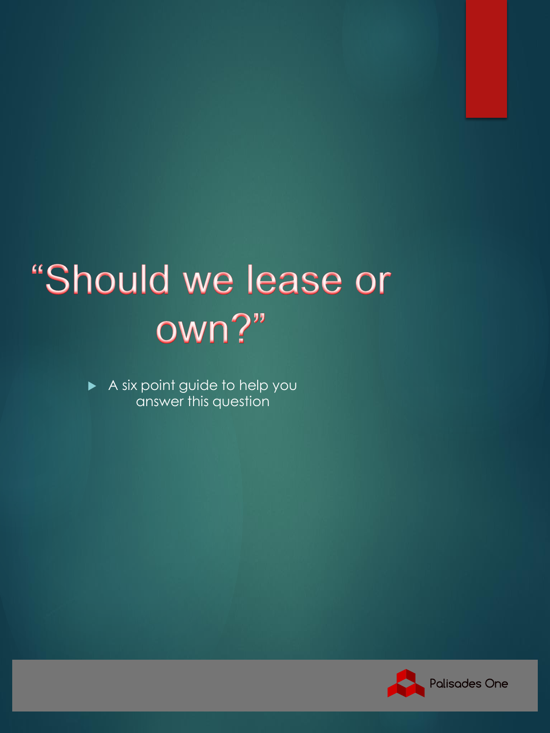# "Should we lease or own?"

 A six point guide to help you answer this question

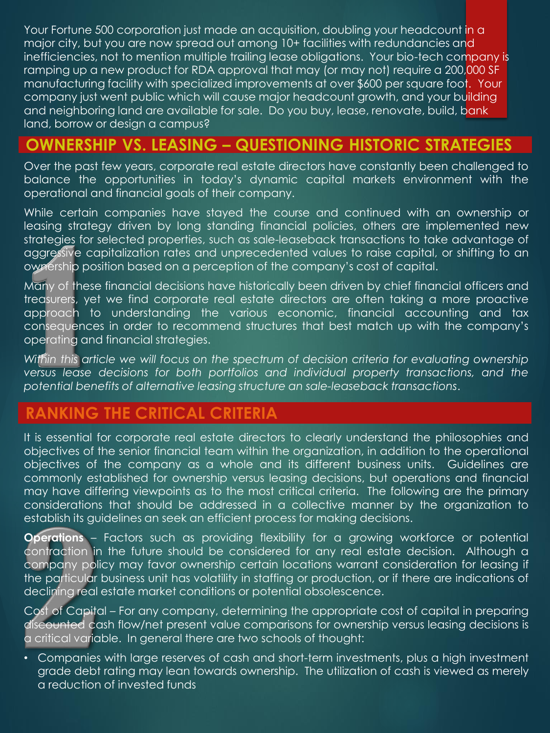Your Fortune 500 corporation just made an acquisition, doubling your headcount in a major city, but you are now spread out among 10+ facilities with redundancies and inefficiencies, not to mention multiple trailing lease obligations. Your bio-tech company is ramping up a new product for RDA approval that may (or may not) require a 200,000 SF manufacturing facility with specialized improvements at over \$600 per square foot. Your company just went public which will cause major headcount growth, and your building and neighboring land are available for sale. Do you buy, lease, renovate, build, bank land, borrow or design a campus?

#### **OWNERSHIP VS. LEASING – QUESTIONING HISTORIC STRATEGIES**

Over the past few years, corporate real estate directors have constantly been challenged to balance the opportunities in today's dynamic capital markets environment with the operational and financial goals of their company.

While certain companies have stayed the course and continued with an ownership or leasing strategy driven by long standing financial policies, others are implemented new strategies for selected properties, such as sale-leaseback transactions to take advantage of aggressive capitalization rates and unprecedented values to raise capital, or shifting to an ownership position based on a perception of the company's cost of capital.

Many of these financial decisions have historically been driven by chief financial officers and treasurers, yet we find corporate real estate directors are often taking a more proactive approach to understanding the various economic, financial accounting and tax consequences in order to recommend structures that best match up with the company's operating and financial strategies.

*Within this article we will focus on the spectrum of decision criteria for evaluating ownership versus lease decisions for both portfolios and individual property transactions, and the potential benefits of alternative leasing structure an sale-leaseback transactions*.

### **RANKING THE CRITICAL CRITERIA**

It is essential for corporate real estate directors to clearly understand the philosophies and objectives of the senior financial team within the organization, in addition to the operational objectives of the company as a whole and its different business units. Guidelines are commonly established for ownership versus leasing decisions, but operations and financial may have differing viewpoints as to the most critical criteria. The following are the primary considerations that should be addressed in a collective manner by the organization to establish its guidelines an seek an efficient process for making decisions.

**Operations** – Factors such as providing flexibility for a growing workforce or potential contraction in the future should be considered for any real estate decision. Although a company policy may favor ownership certain locations warrant consideration for leasing if the particular business unit has volatility in staffing or production, or if there are indications of declining real estate market conditions or potential obsolescence.

Cost of Capital – For any company, determining the appropriate cost of capital in preparing discounted cash flow/net present value comparisons for ownership versus leasing decisions is a critical variable. In general there are two schools of thought:

• Companies with large reserves of cash and short-term investments, plus a high investment grade debt rating may lean towards ownership. The utilization of cash is viewed as merely a reduction of invested funds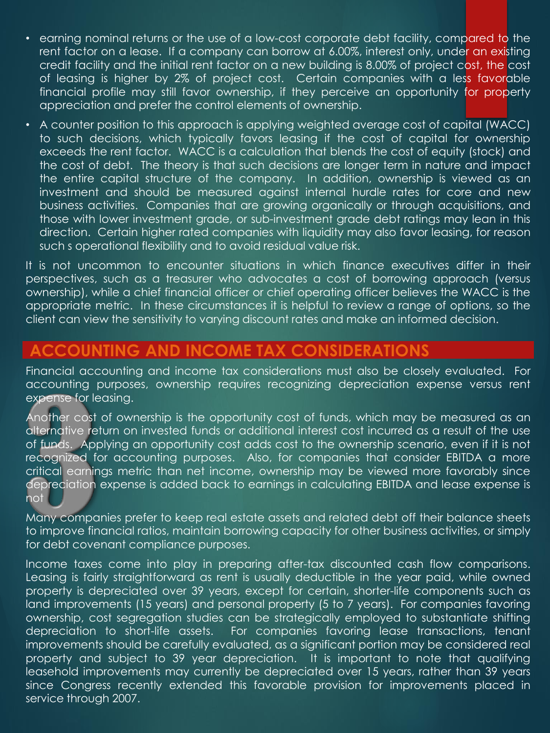- earning nominal returns or the use of a low-cost corporate debt facility, compared to the rent factor on a lease. If a company can borrow at 6.00%, interest only, under an existing credit facility and the initial rent factor on a new building is 8.00% of project cost, the cost of leasing is higher by 2% of project cost. Certain companies with a less favorable financial profile may still favor ownership, if they perceive an opportunity for property appreciation and prefer the control elements of ownership.
- A counter position to this approach is applying weighted average cost of capital (WACC) to such decisions, which typically favors leasing if the cost of capital for ownership exceeds the rent factor. WACC is a calculation that blends the cost of equity (stock) and the cost of debt. The theory is that such decisions are longer term in nature and impact the entire capital structure of the company. In addition, ownership is viewed as an investment and should be measured against internal hurdle rates for core and new business activities. Companies that are growing organically or through acquisitions, and those with lower investment grade, or sub-investment grade debt ratings may lean in this direction. Certain higher rated companies with liquidity may also favor leasing, for reason such s operational flexibility and to avoid residual value risk.

It is not uncommon to encounter situations in which finance executives differ in their perspectives, such as a treasurer who advocates a cost of borrowing approach (versus ownership), while a chief financial officer or chief operating officer believes the WACC is the appropriate metric. In these circumstances it is helpful to review a range of options, so the client can view the sensitivity to varying discount rates and make an informed decision.

#### **ACCOUNTING AND INCOME TAX CONSIDERATIONS**

Financial accounting and income tax considerations must also be closely evaluated. For accounting purposes, ownership requires recognizing depreciation expense versus rent expense for leasing.

Another cost of ownership is the opportunity cost of funds, which may be measured as an alternative return on invested funds or additional interest cost incurred as a result of the use of funds. Applying an opportunity cost adds cost to the ownership scenario, even if it is not recognized for accounting purposes. Also, for companies that consider EBITDA a more critical earnings metric than net income, ownership may be viewed more favorably since depreciation expense is added back to earnings in calculating EBITDA and lease expense is not

Many companies prefer to keep real estate assets and related debt off their balance sheets to improve financial ratios, maintain borrowing capacity for other business activities, or simply for debt covenant compliance purposes.

Income taxes come into play in preparing after-tax discounted cash flow comparisons. Leasing is fairly straightforward as rent is usually deductible in the year paid, while owned property is depreciated over 39 years, except for certain, shorter-life components such as land improvements (15 years) and personal property (5 to 7 years). For companies favoring ownership, cost segregation studies can be strategically employed to substantiate shifting depreciation to short-life assets. For companies favoring lease transactions, tenant improvements should be carefully evaluated, as a significant portion may be considered real property and subject to 39 year depreciation. It is important to note that qualifying leasehold improvements may currently be depreciated over 15 years, rather than 39 years since Congress recently extended this favorable provision for improvements placed in service through 2007.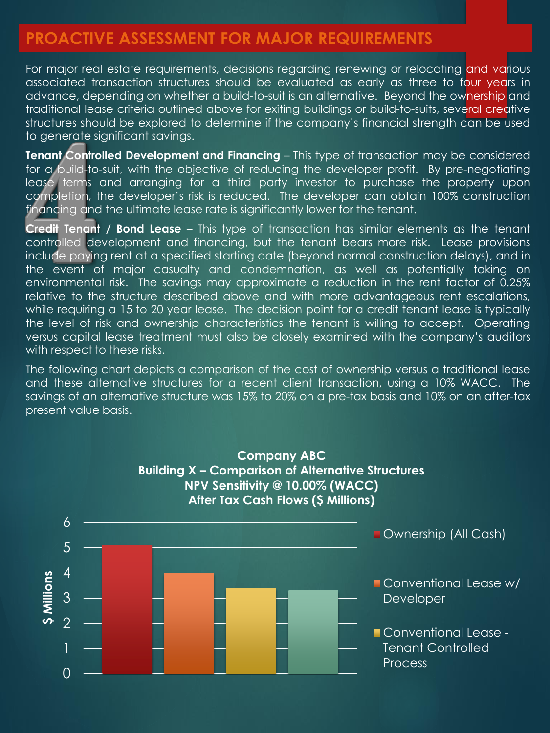#### **PROACTIVE ASSESSMENT FOR MAJOR REQUIREMENTS**

For major real estate requirements, decisions regarding renewing or relocating and various associated transaction structures should be evaluated as early as three to four years in advance, depending on whether a build-to-suit is an alternative. Beyond the ownership and traditional lease criteria outlined above for exiting buildings or build-to-suits, several creative structures should be explored to determine if the company's financial strength can be used to generate significant savings.

**Tenant Controlled Development and Financing** – This type of transaction may be considered for a build-to-suit, with the objective of reducing the developer profit. By pre-negotiating lease terms and arranging for a third party investor to purchase the property upon completion, the developer's risk is reduced. The developer can obtain 100% construction financing and the ultimate lease rate is significantly lower for the tenant.

**Credit Tenant / Bond Lease** – This type of transaction has similar elements as the tenant controlled development and financing, but the tenant bears more risk. Lease provisions include paying rent at a specified starting date (beyond normal construction delays), and in the event of major casualty and condemnation, as well as potentially taking on environmental risk. The savings may approximate a reduction in the rent factor of 0.25% relative to the structure described above and with more advantageous rent escalations, while requiring a 15 to 20 year lease. The decision point for a credit tenant lease is typically the level of risk and ownership characteristics the tenant is willing to accept. Operating versus capital lease treatment must also be closely examined with the company's auditors with respect to these risks.

The following chart depicts a comparison of the cost of ownership versus a traditional lease and these alternative structures for a recent client transaction, using a 10% WACC. The savings of an alternative structure was 15% to 20% on a pre-tax basis and 10% on an after-tax present value basis.

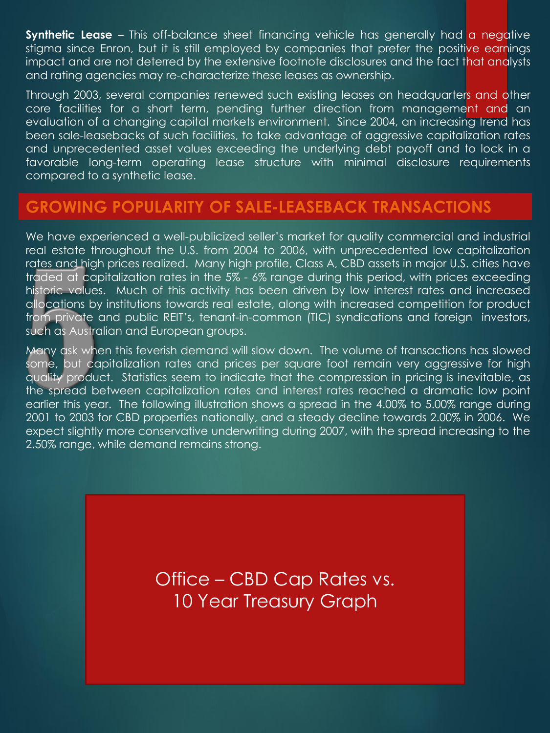**Synthetic Lease** – This off-balance sheet financing vehicle has generally had a negative stigma since Enron, but it is still employed by companies that prefer the positive earnings impact and are not deterred by the extensive footnote disclosures and the fact that analysts and rating agencies may re-characterize these leases as ownership.

Through 2003, several companies renewed such existing leases on headquarters and other core facilities for a short term, pending further direction from management and an evaluation of a changing capital markets environment. Since 2004, an increasing trend has been sale-leasebacks of such facilities, to take advantage of aggressive capitalization rates and unprecedented asset values exceeding the underlying debt payoff and to lock in a favorable long-term operating lease structure with minimal disclosure requirements compared to a synthetic lease.

#### **GROWING POPULARITY OF SALE-LEASEBACK TRANSACTIONS**

We have experienced a well-publicized seller's market for quality commercial and industrial real estate throughout the U.S. from 2004 to 2006, with unprecedented low capitalization rates and high prices realized. Many high profile, Class A, CBD assets in major U.S. cities have traded at capitalization rates in the 5% - 6% range during this period, with prices exceeding historic values. Much of this activity has been driven by low interest rates and increased allocations by institutions towards real estate, along with increased competition for product from private and public REIT's, tenant-in-common (TIC) syndications and foreign investors, such as Australian and European groups.

Many ask when this feverish demand will slow down. The volume of transactions has slowed some, but capitalization rates and prices per square foot remain very aggressive for high quality product. Statistics seem to indicate that the compression in pricing is inevitable, as the spread between capitalization rates and interest rates reached a dramatic low point earlier this year. The following illustration shows a spread in the 4.00% to 5.00% range during 2001 to 2003 for CBD properties nationally, and a steady decline towards 2.00% in 2006. We expect slightly more conservative underwriting during 2007, with the spread increasing to the 2.50% range, while demand remains strong.

> Office – CBD Cap Rates vs. 10 Year Treasury Graph